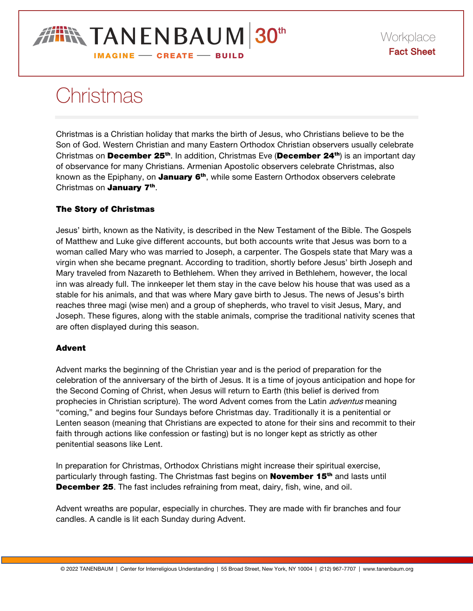# **IN TANENBAUM 30th IMAGINE - CREATE - BUILD**

# Christmas

Christmas is a Christian holiday that marks the birth of Jesus, who Christians believe to be the Son of God. Western Christian and many Eastern Orthodox Christian observers usually celebrate Christmas on December 25<sup>th</sup>. In addition, Christmas Eve (December 24<sup>th</sup>) is an important day of observance for many Christians. Armenian Apostolic observers celebrate Christmas, also known as the Epiphany, on **January 6th**, while some Eastern Orthodox observers celebrate Christmas on **January 7<sup>th</sup>**.

## The Story of Christmas

Jesus' birth, known as the Nativity, is described in the New Testament of the Bible. The Gospels of Matthew and Luke give different accounts, but both accounts write that Jesus was born to a woman called Mary who was married to Joseph, a carpenter. The Gospels state that Mary was a virgin when she became pregnant. According to tradition, shortly before Jesus' birth Joseph and Mary traveled from Nazareth to Bethlehem. When they arrived in Bethlehem, however, the local inn was already full. The innkeeper let them stay in the cave below his house that was used as a stable for his animals, and that was where Mary gave birth to Jesus. The news of Jesus's birth reaches three magi (wise men) and a group of shepherds, who travel to visit Jesus, Mary, and Joseph. These figures, along with the stable animals, comprise the traditional nativity scenes that are often displayed during this season.

## Advent

Advent marks the beginning of the Christian year and is the period of preparation for the celebration of the anniversary of the birth of Jesus. It is a time of joyous anticipation and hope for the Second Coming of Christ, when Jesus will return to Earth (this belief is derived from prophecies in Christian scripture). The word Advent comes from the Latin *adventus* meaning "coming," and begins four Sundays before Christmas day. Traditionally it is a penitential or Lenten season (meaning that Christians are expected to atone for their sins and recommit to their faith through actions like confession or fasting) but is no longer kept as strictly as other penitential seasons like Lent.

In preparation for Christmas, Orthodox Christians might increase their spiritual exercise, particularly through fasting. The Christmas fast begins on **November 15<sup>th</sup>** and lasts until **December 25**. The fast includes refraining from meat, dairy, fish, wine, and oil.

Advent wreaths are popular, especially in churches. They are made with fir branches and four candles. A candle is lit each Sunday during Advent.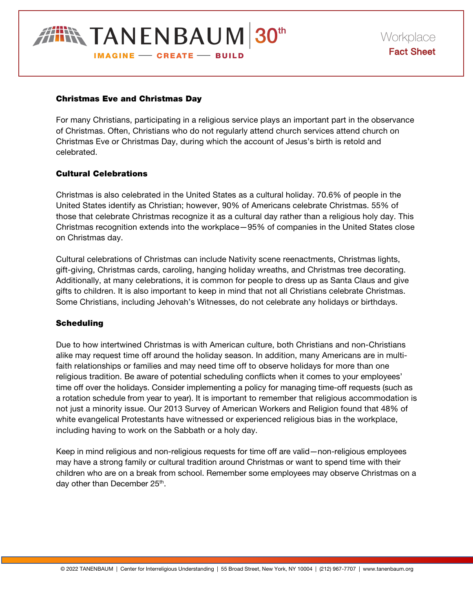

#### Christmas Eve and Christmas Day

For many Christians, participating in a religious service plays an important part in the observance of Christmas. Often, Christians who do not regularly attend church services attend church on Christmas Eve or Christmas Day, during which the account of Jesus's birth is retold and celebrated.

#### Cultural Celebrations

Christmas is also celebrated in the United States as a cultural holiday. 70.6% of people in the United States identify as Christian; however, 90% of Americans celebrate Christmas. 55% of those that celebrate Christmas recognize it as a cultural day rather than a religious holy day. This Christmas recognition extends into the workplace—95% of companies in the United States close on Christmas day.

Cultural celebrations of Christmas can include Nativity scene reenactments, Christmas lights, gift-giving, Christmas cards, caroling, hanging holiday wreaths, and Christmas tree decorating. Additionally, at many celebrations, it is common for people to dress up as Santa Claus and give gifts to children. It is also important to keep in mind that not all Christians celebrate Christmas. Some Christians, including Jehovah's Witnesses, do not celebrate any holidays or birthdays.

#### Scheduling

Due to how intertwined Christmas is with American culture, both Christians and non-Christians alike may request time off around the holiday season. In addition, many Americans are in multifaith relationships or families and may need time off to observe holidays for more than one religious tradition. Be aware of potential scheduling conflicts when it comes to your employees' time off over the holidays. Consider implementing a policy for managing time-off requests (such as a rotation schedule from year to year). It is important to remember that religious accommodation is not just a minority issue. Our 2013 Survey of American Workers and Religion found that 48% of white evangelical Protestants have witnessed or experienced religious bias in the workplace, including having to work on the Sabbath or a holy day.

Keep in mind religious and non-religious requests for time off are valid—non-religious employees may have a strong family or cultural tradition around Christmas or want to spend time with their children who are on a break from school. Remember some employees may observe Christmas on a day other than December 25<sup>th</sup>.